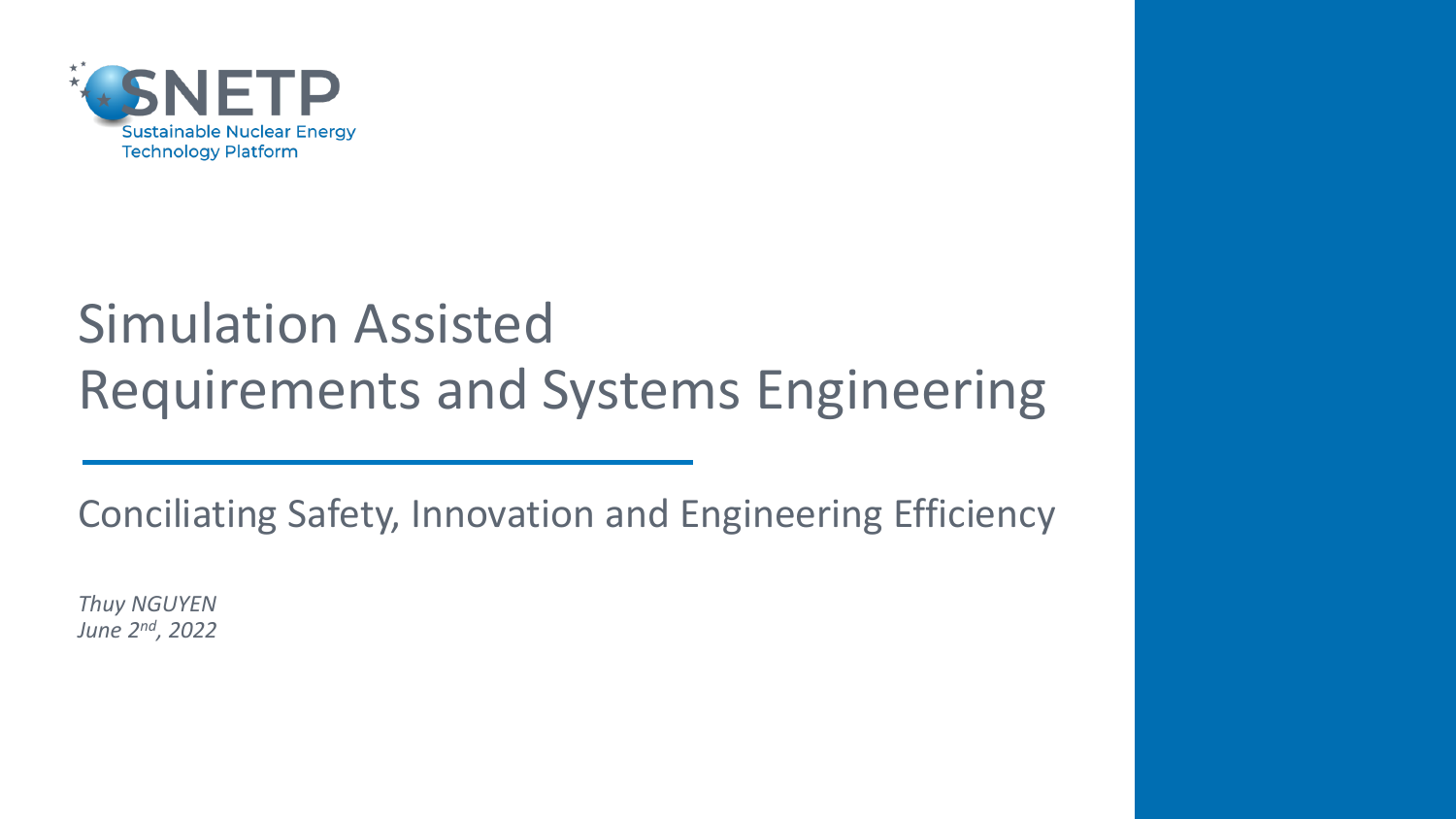

# Simulation Assisted Requirements and Systems Engineering

Conciliating Safety, Innovation and Engineering Efficiency

*Thuy NGUYEN June 2nd, 2022*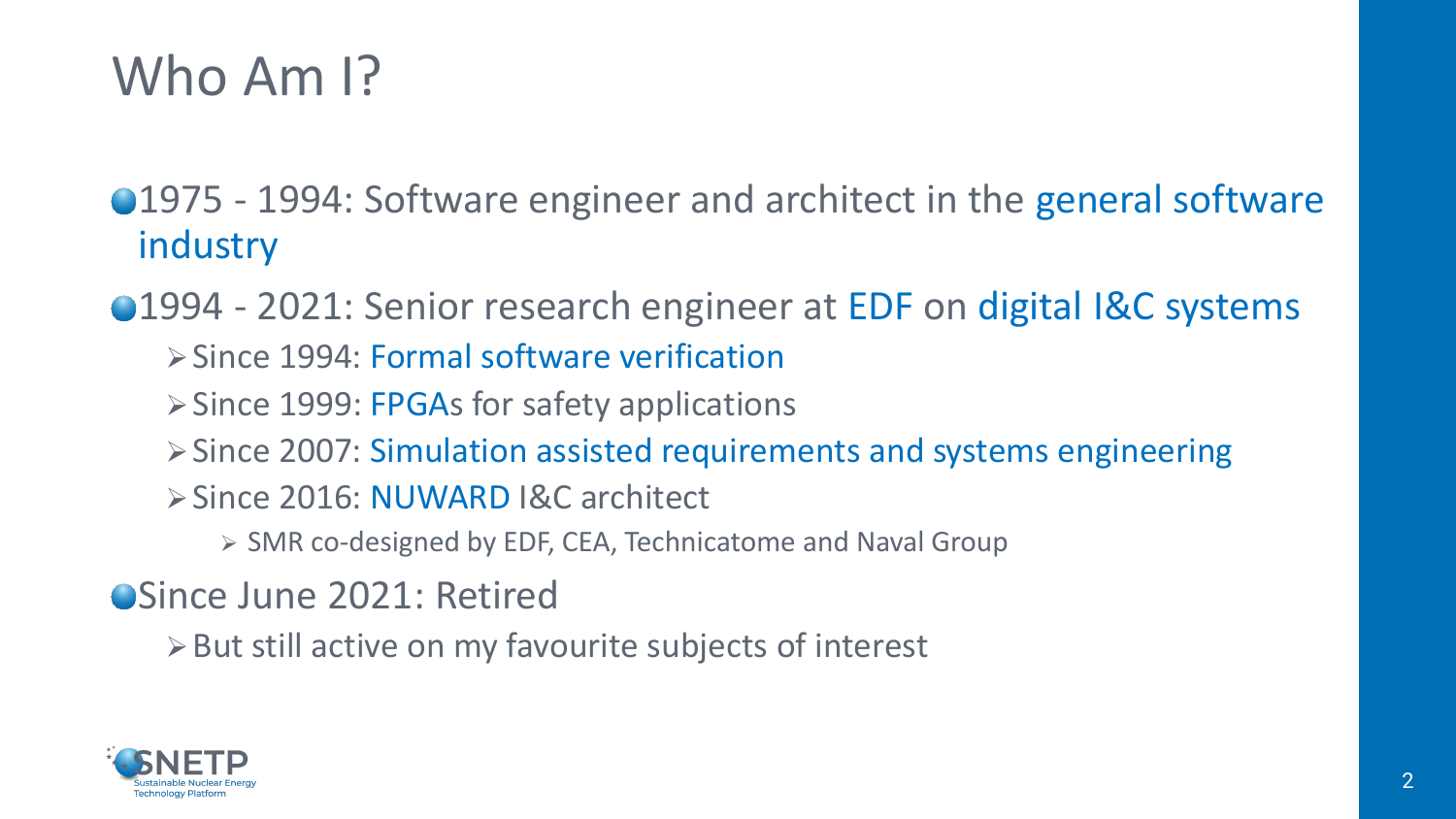## Who Am I?

●1975 - 1994: Software engineer and architect in the general software industry

●1994 - 2021: Senior research engineer at EDF on digital I&C systems ➢Since 1994: Formal software verification

- ➢Since 1999: FPGAs for safety applications
- ➢Since 2007: Simulation assisted requirements and systems engineering
- ➢Since 2016: NUWARD I&C architect
	- ➢ SMR co-designed by EDF, CEA, Technicatome and Naval Group

**OSince June 2021: Retired** 

➢But still active on my favourite subjects of interest

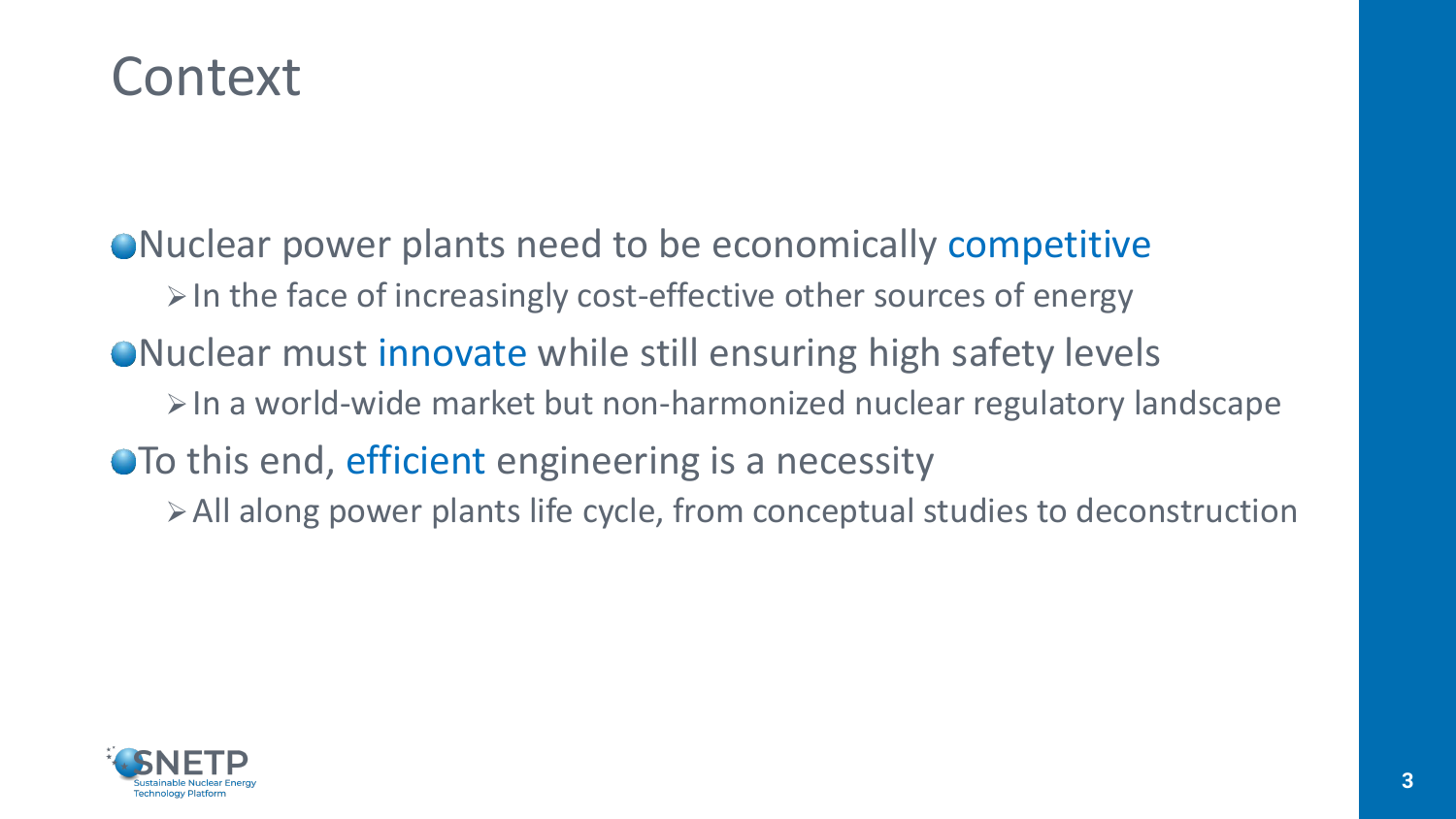### Context

Nuclear power plants need to be economically competitive  $\triangleright$  In the face of increasingly cost-effective other sources of energy ● Nuclear must innovate while still ensuring high safety levels ➢In a world-wide market but non-harmonized nuclear regulatory landscape To this end, efficient engineering is a necessity ➢All along power plants life cycle, from conceptual studies to deconstruction

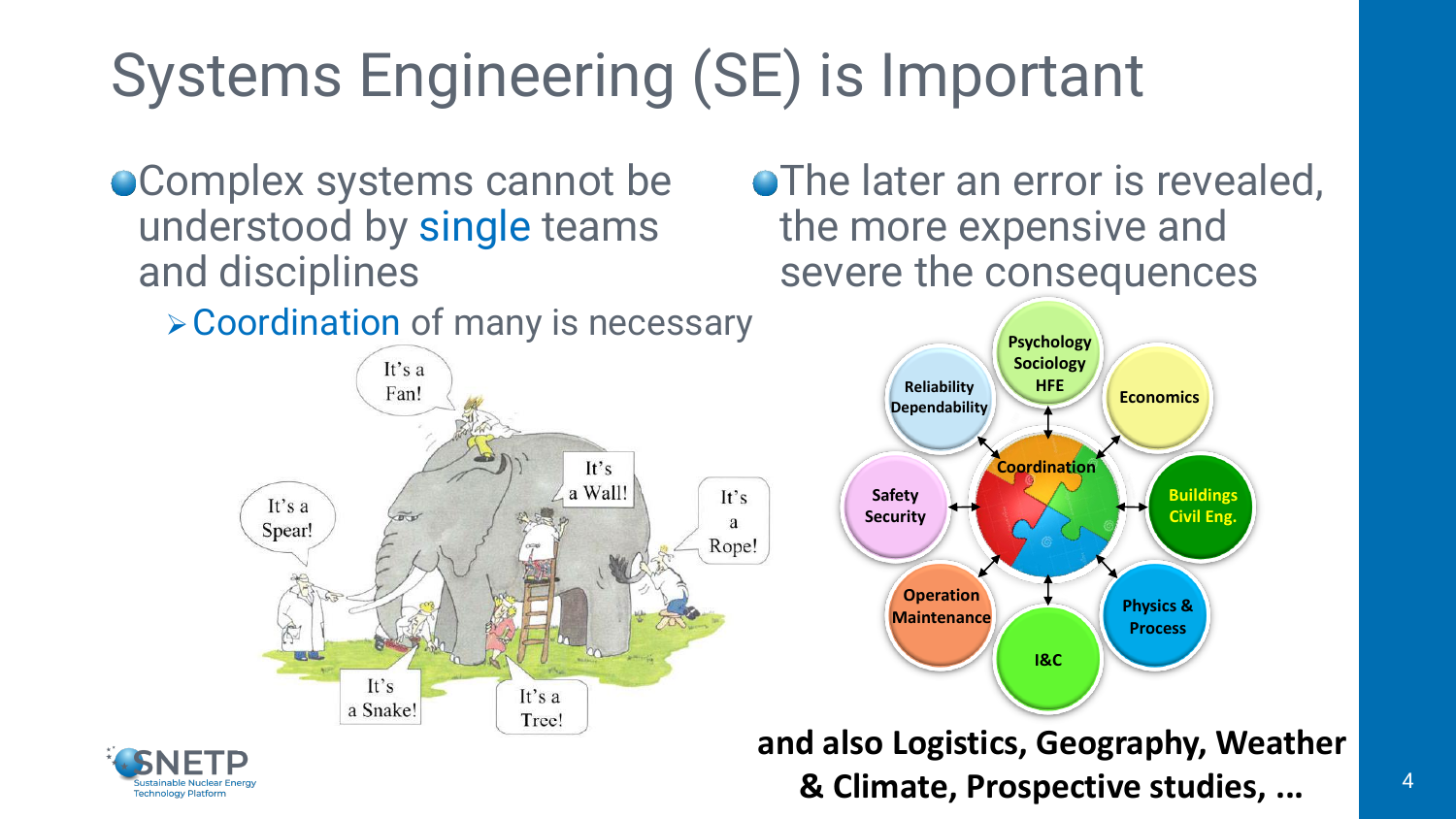# Systems Engineering (SE) is Important

**Complex systems cannot be** understood by single teams and disciplines

It's

a Snake!

➢Coordination of many is necessary It's a Fan!  $It's$ a Wall!  $It's$ It's a a Spear! Rope!

It's a

Tree!

**• The later an error is revealed,** the more expensive and severe the consequences





**and also Logistics, Geography, Weather & Climate, Prospective studies, ...** <sup>4</sup>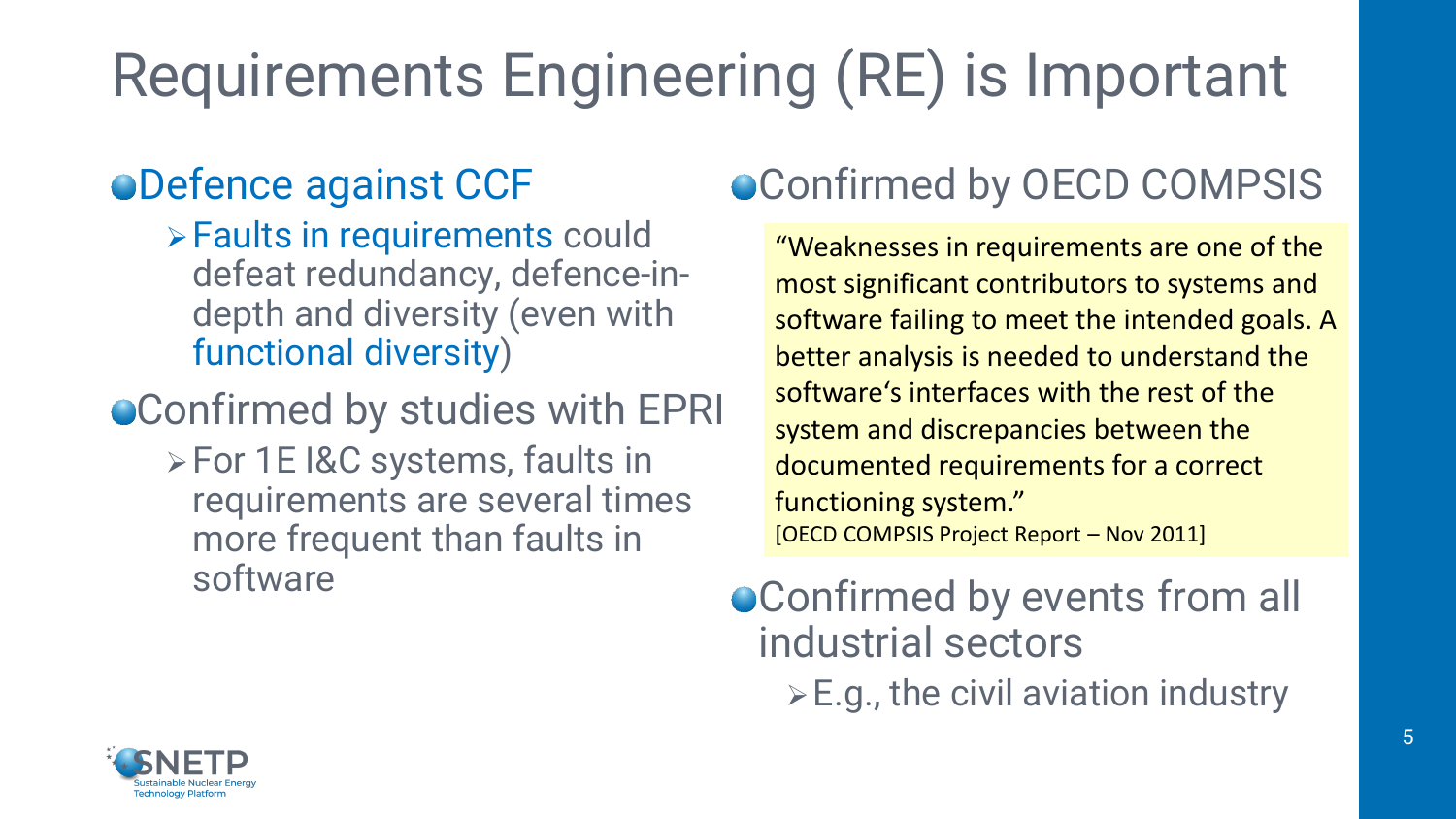# Requirements Engineering (RE) is Important

### Defence against CCF

➢Faults in requirements could defeat redundancy, defence-indepth and diversity (even with functional diversity)

#### Confirmed by studies with EPRI

➢For 1E I&C systems, faults in requirements are several times more frequent than faults in software

### $\bullet$  Confirmed by OECD COMPSIS

"Weaknesses in requirements are one of the most significant contributors to systems and software failing to meet the intended goals. A better analysis is needed to understand the software's interfaces with the rest of the system and discrepancies between the documented requirements for a correct functioning system." [OECD COMPSIS Project Report – Nov 2011]

#### Confirmed by events from all industrial sectors  $\triangleright$  E.g., the civil aviation industry

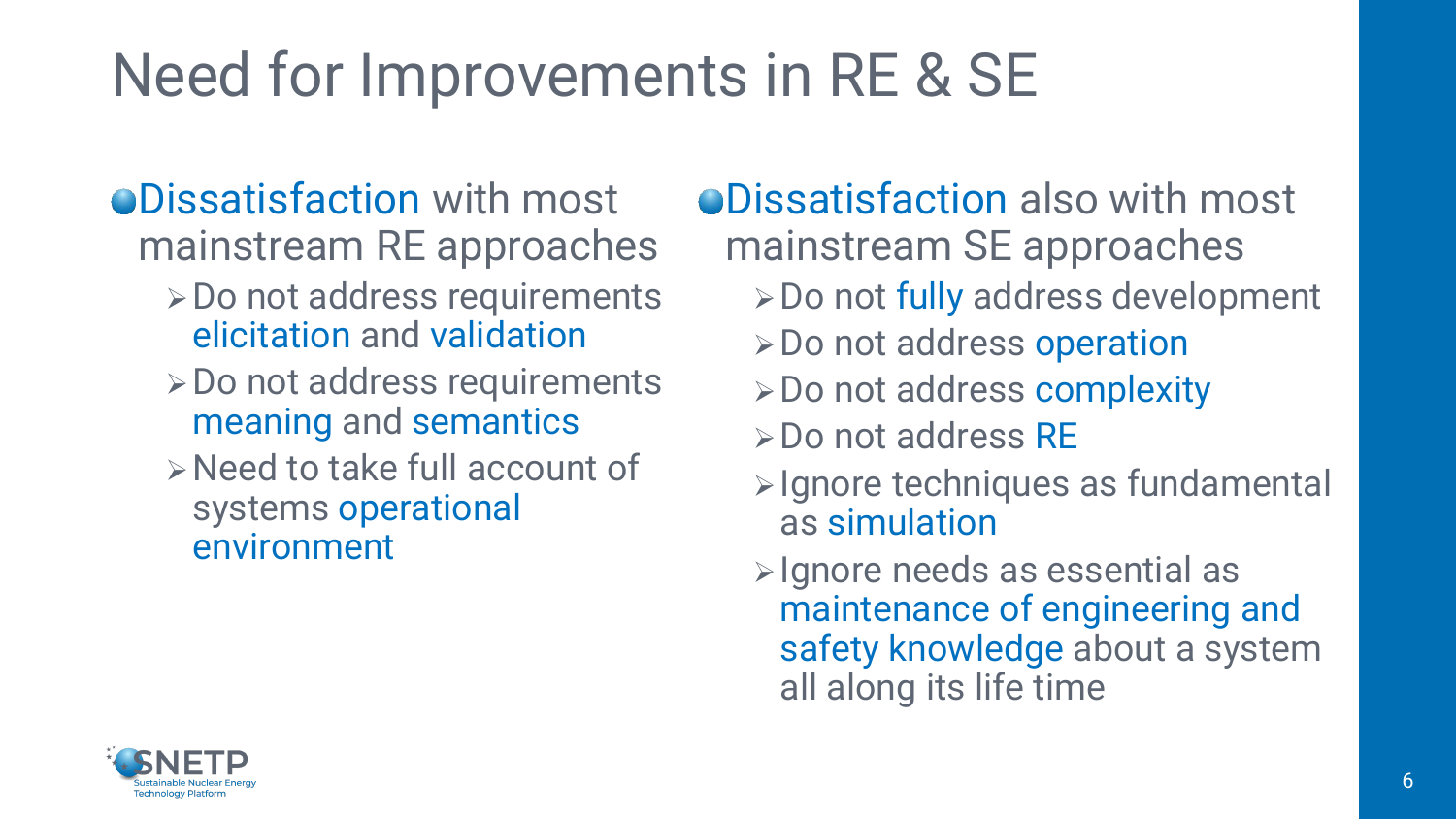# Need for Improvements in RE & SE

#### **ODissatisfaction with most** mainstream RE approaches

- ➢Do not address requirements elicitation and validation
- ➢Do not address requirements meaning and semantics
- ➢Need to take full account of systems operational environment

Dissatisfaction also with most mainstream SE approaches

- ➢Do not fully address development
- ➢Do not address operation
- ➢Do not address complexity
- ➢Do not address RE
- ➢Ignore techniques as fundamental as simulation
- ➢Ignore needs as essential as maintenance of engineering and safety knowledge about a system all along its life time

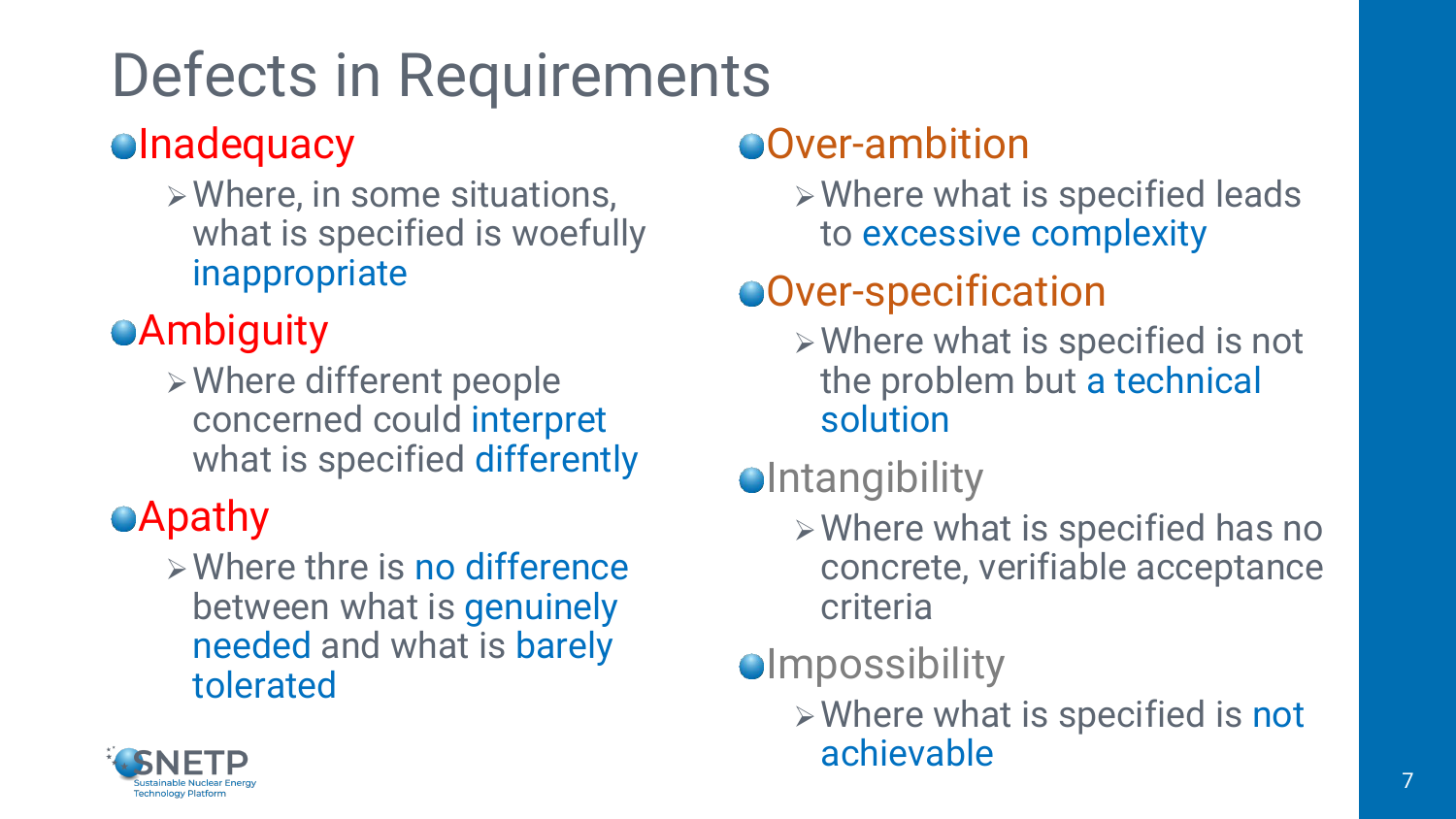# Defects in Requirements

#### **olnadequacy**

➢Where, in some situations, what is specified is woefully inappropriate

### **Ambiguity**

➢Where different people concerned could interpret what is specified differently

### **Apathy**

➢Where thre is no difference between what is genuinely needed and what is barely tolerated

### Over-ambition

➢Where what is specified leads to excessive complexity

### Over-specification

- ➢Where what is specified is not the problem but a technical solution
- **O**Intangibility
	- ➢Where what is specified has no concrete, verifiable acceptance criteria

### **Olmpossibility**

➢Where what is specified is not achievable

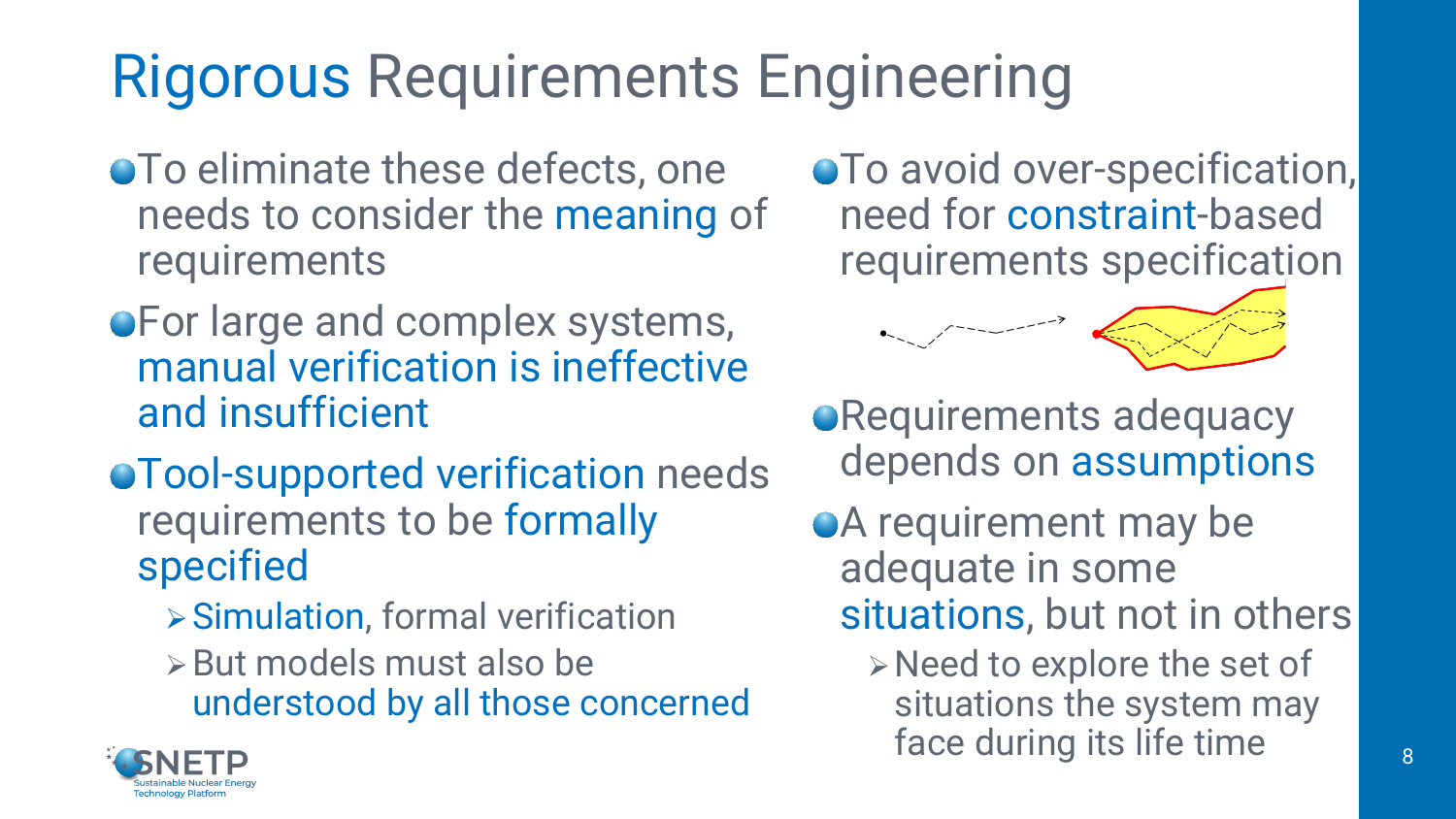# Rigorous Requirements Engineering

- **To eliminate these defects, one** needs to consider the meaning of requirements
- **For large and complex systems,** manual verification is ineffective and insufficient
- Tool-supported verification needs requirements to be formally specified
	- ➢Simulation, formal verification
	- ➢But models must also be understood by all those concerned

**• To avoid over-specification,** need for constraint-based requirements specification



- **Requirements adequacy** depends on assumptions
- **A** requirement may be adequate in some situations, but not in others
	- ➢Need to explore the set of situations the system may face during its life time

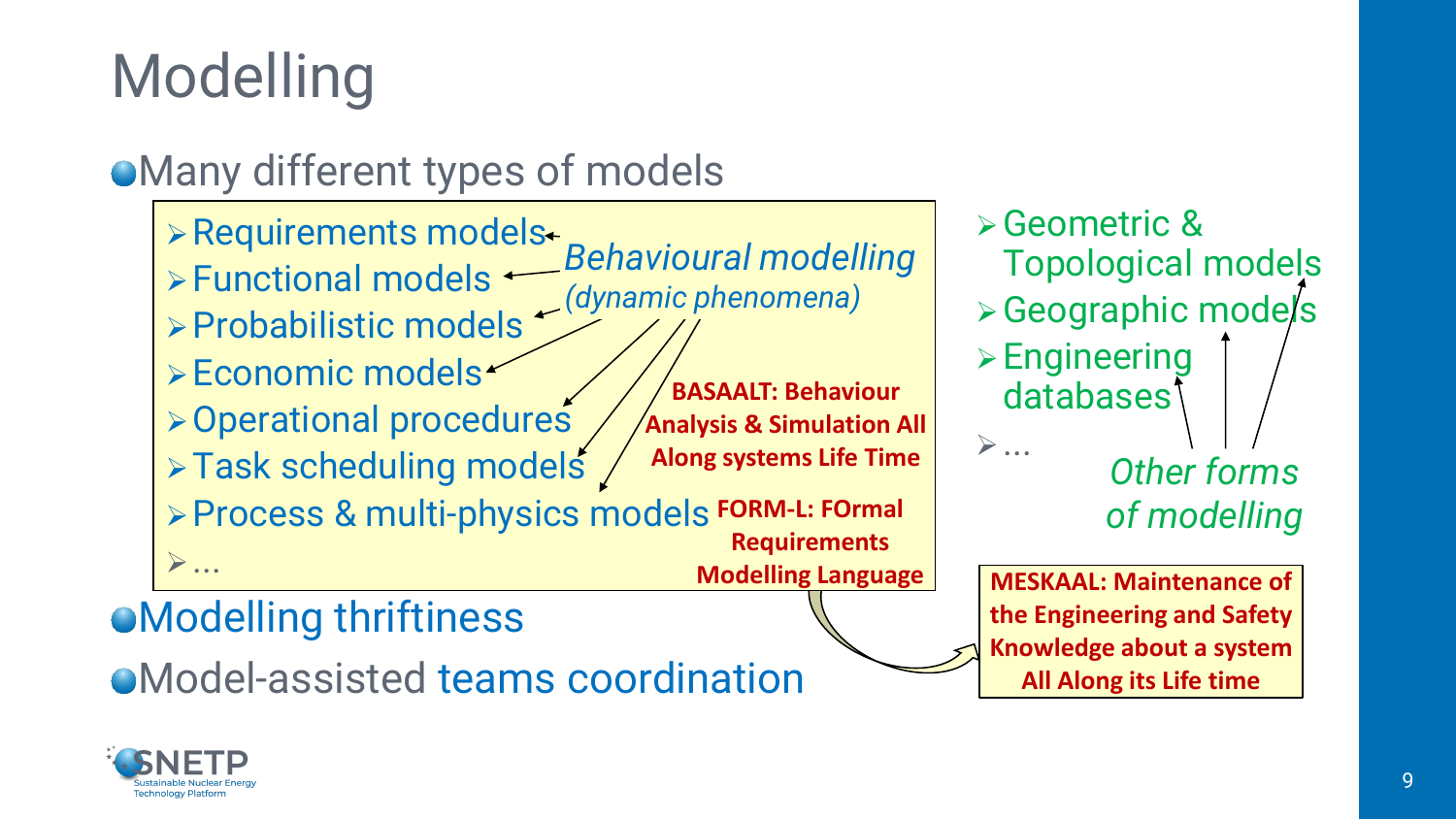# Modelling

#### Many different types of models

➢Requirements models ➢Functional models ➢Probabilistic models ➢Economic models ➢Operational procedures ➢Task scheduling models ➢Process & multi-physics models **FORM-L: FOrmal**  ➢... **BASAALT: Behaviour Analysis & Simulation All Along systems Life Time Requirements**  *Behavioural modelling (dynamic phenomena)*

➢Geometric & Topological models ➢Geographic models ➢Engineering databases<sup>1</sup> ➢... *Other forms of modelling*

**Modelling Language MESKAAL: Maintenance of the Engineering and Safety Knowledge about a system All Along its Life time** 

Modelling thriftiness

Model-assisted teams coordination

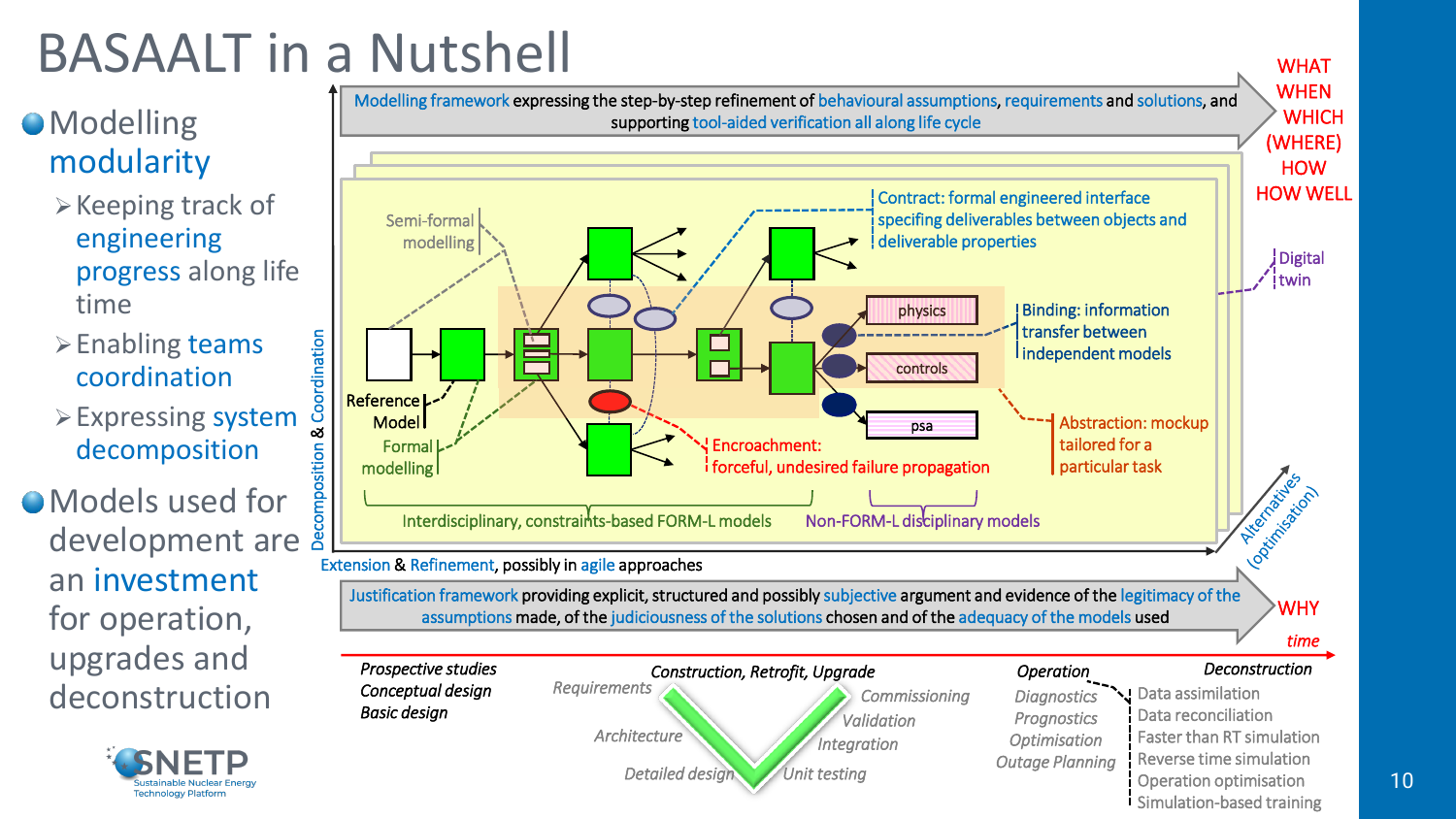# BASAALT in a Nutshell

#### **O**Modelling modularity

- ➢Keeping track of engineering progress along life time
- ➢Enabling teams coordination
- ➢Expressing system decomposition

Models used for development are  $\frac{8}{3}$ an investment for operation, upgrades and deconstruction

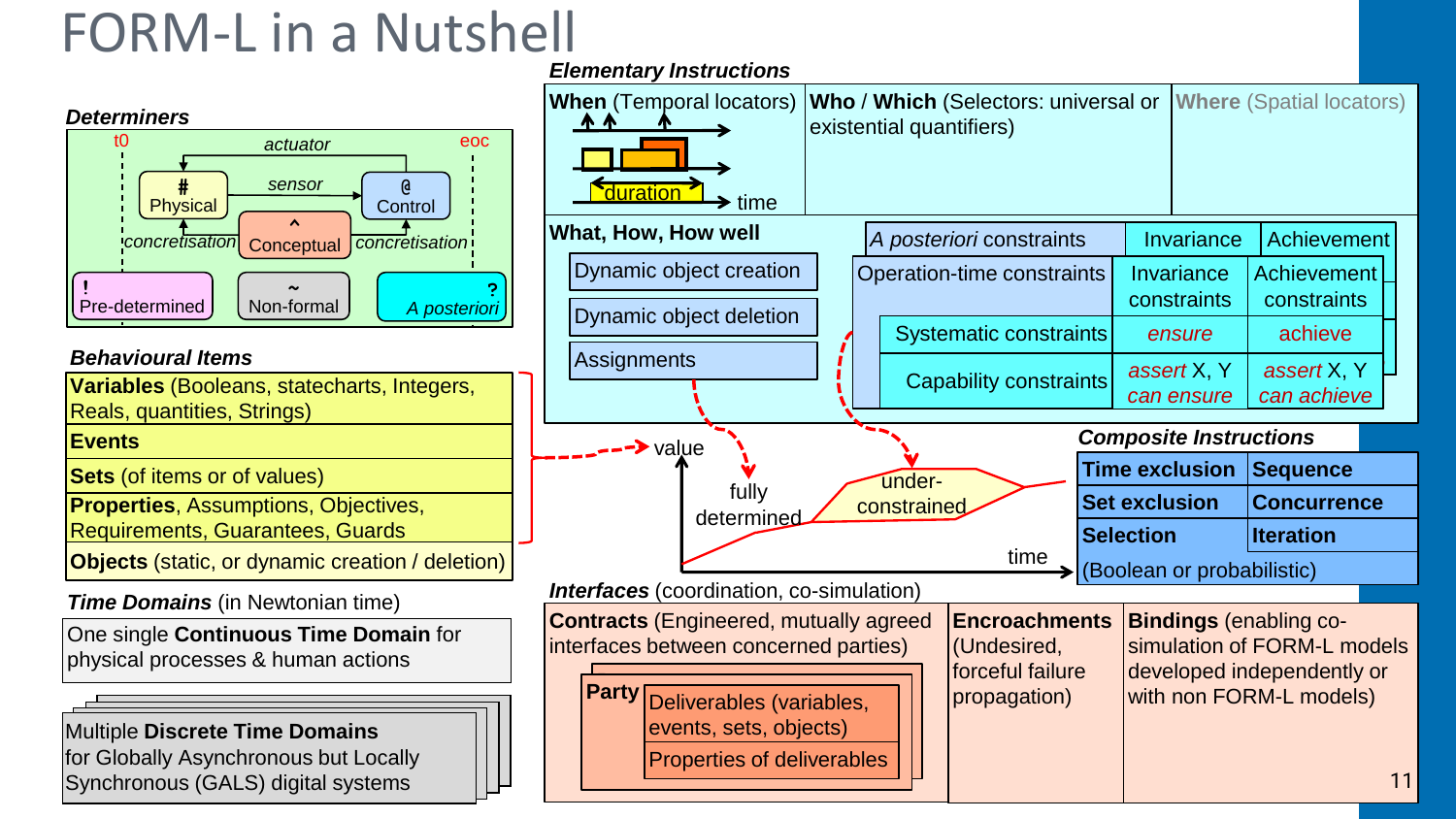### FORM-L in a Nutshell



#### *Behavioural Items*

**Variables** (Booleans, statecharts, Integers, Reals, quantities, Strings) **Events Sets** (of items or of values) **Properties**, Assumptions, Objectives, Requirements, Guarantees, Guards

**Objects** (static, or dynamic creation / deletion)

*Time Domains* (in Newtonian time)

One single **Continuous Time Domain** for physical processes & human actions

Multiple **Discrete Time Domains** for Globally Asynchronous but Locally Synchronous (GALS) digital systems

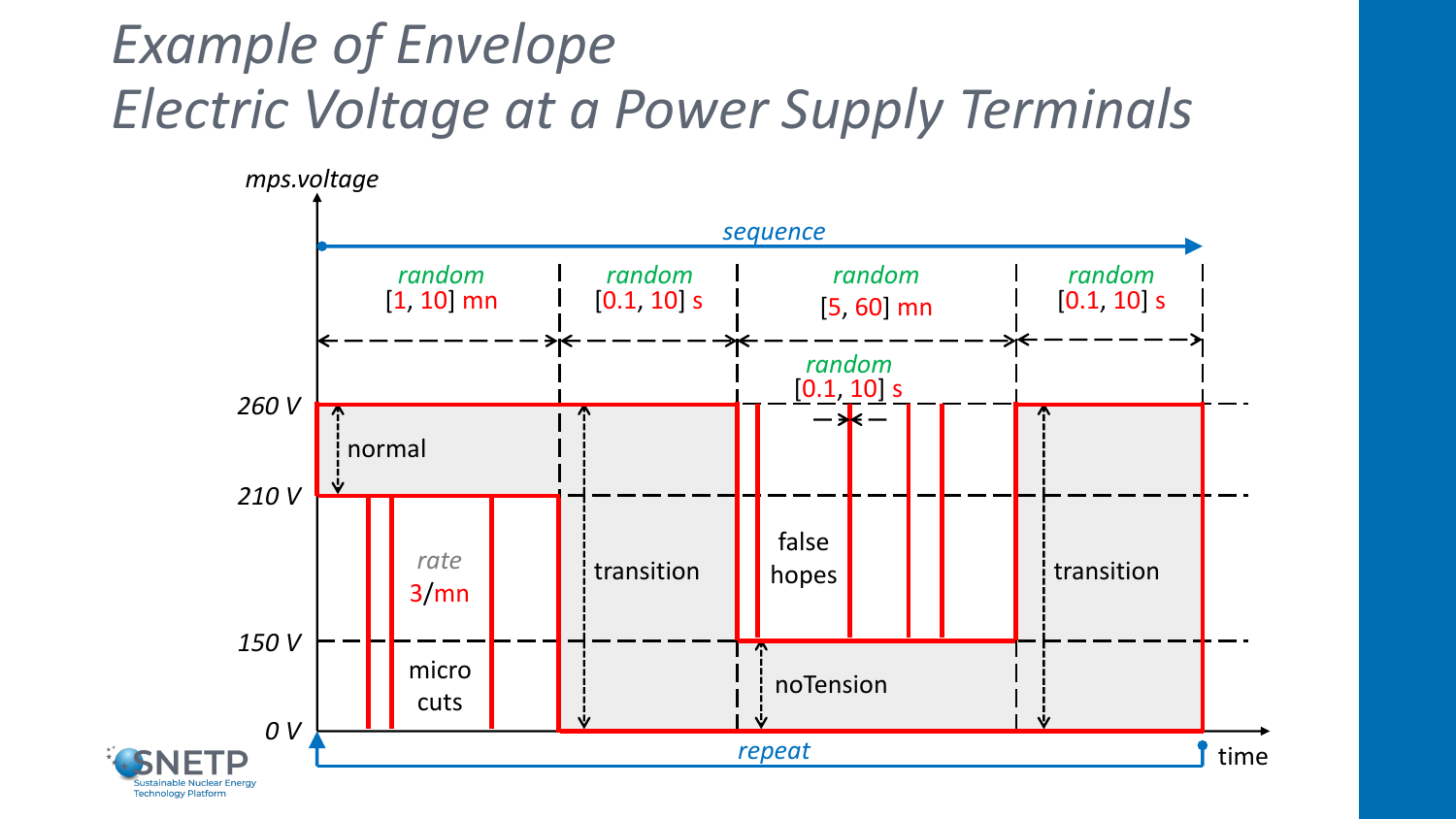## *Example of Envelope Electric Voltage at a Power Supply Terminals*

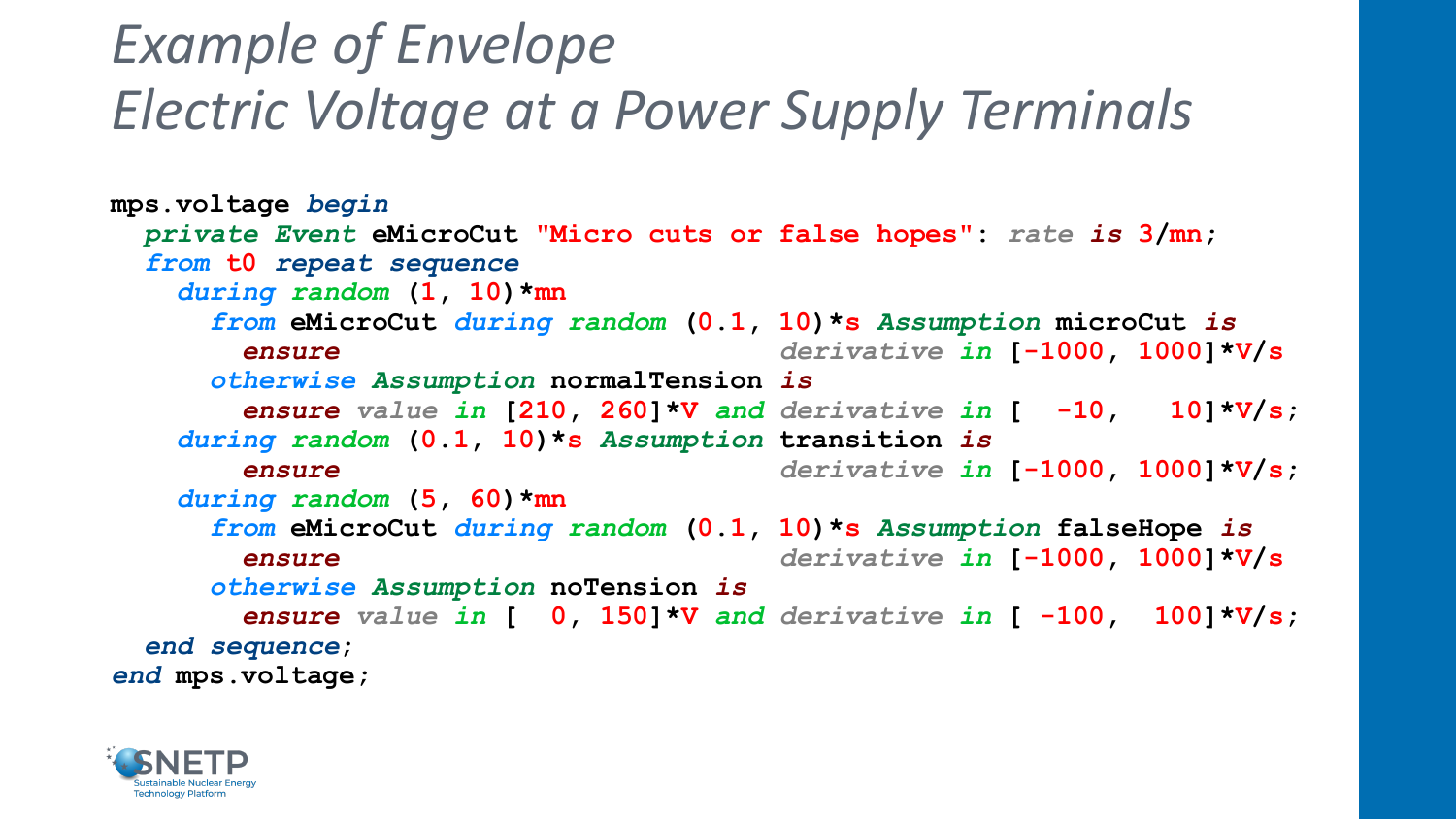### *Example of Envelope Electric Voltage at a Power Supply Terminals*

```
mps.voltage begin
 private Event eMicroCut "Micro cuts or false hopes": rate is 3/mn;
  from t0 repeat sequence
   during random (1, 10)*mn
     from eMicroCut during random (0.1, 10)*s Assumption microCut is
       ensure derivative in [-1000, 1000]*V/s
     otherwise Assumption normalTension is
       ensure value in [210, 260]*V and derivative in [ -10, 10]*V/s;
   during random (0.1, 10)*s Assumption transition is
       ensure derivative in [-1000, 1000]*V/s;
   during random (5, 60)*mn
     from eMicroCut during random (0.1, 10)*s Assumption falseHope is
       ensure derivative in [-1000, 1000]*V/s
     otherwise Assumption noTension is
       ensure value in [ 0, 150]*V and derivative in [ -100, 100]*V/s;
  end sequence; 
end mps.voltage;
```
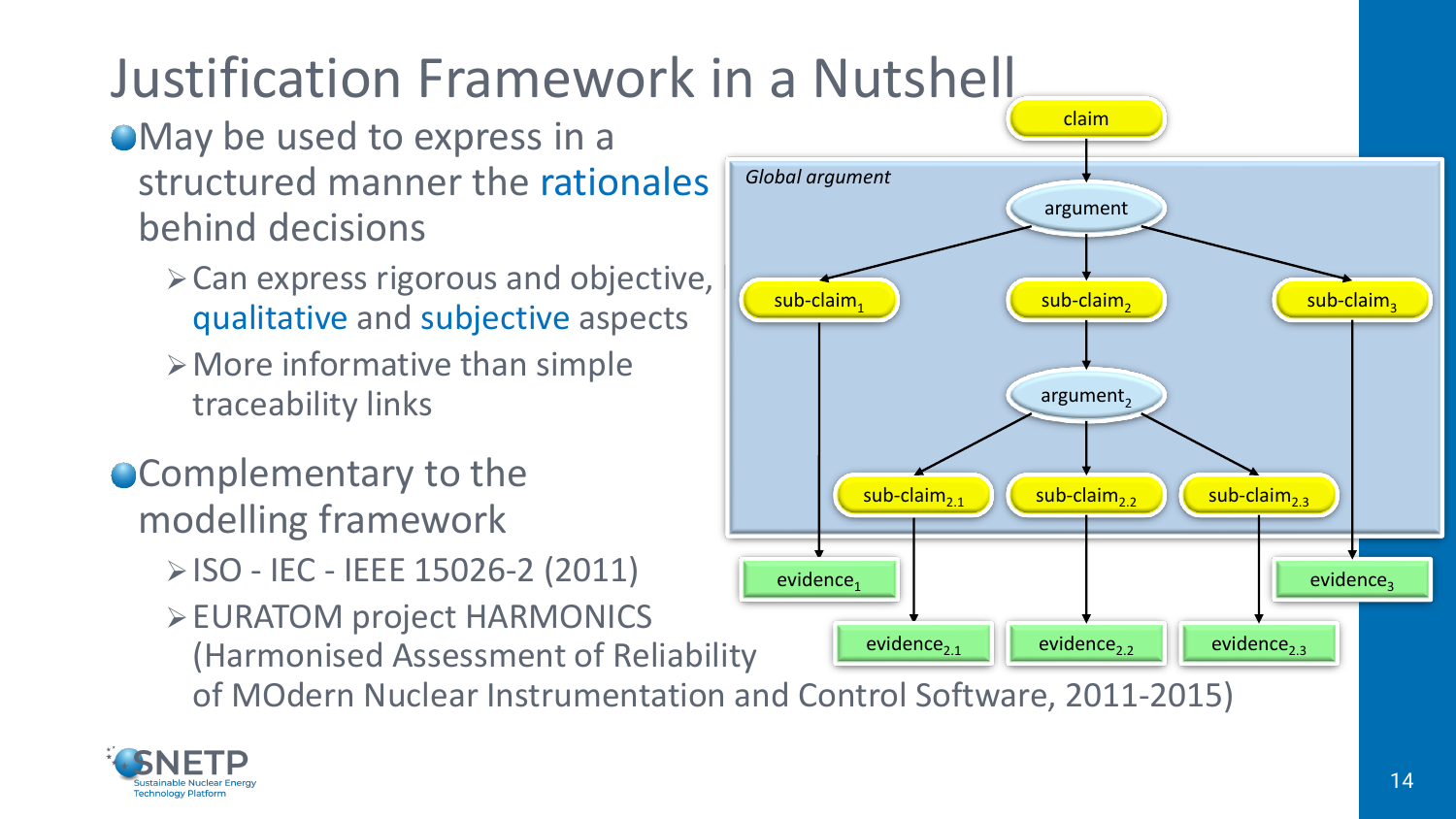# Justification Framework in a Nutshell

#### May be used to express in a structured manner the rationales behind decisions

- $\triangleright$  Can express rigorous and objective, qualitative and subjective aspects
- $\triangleright$  More informative than simple traceability links
- **Complementary to the** modelling framework
	- ➢ISO IEC IEEE 15026-2 (2011)
	- ➢EURATOM project HARMONICS (Harmonised Assessment of Reliability

of MOdern Nuclear Instrumentation and Control Software, 2011-2015)



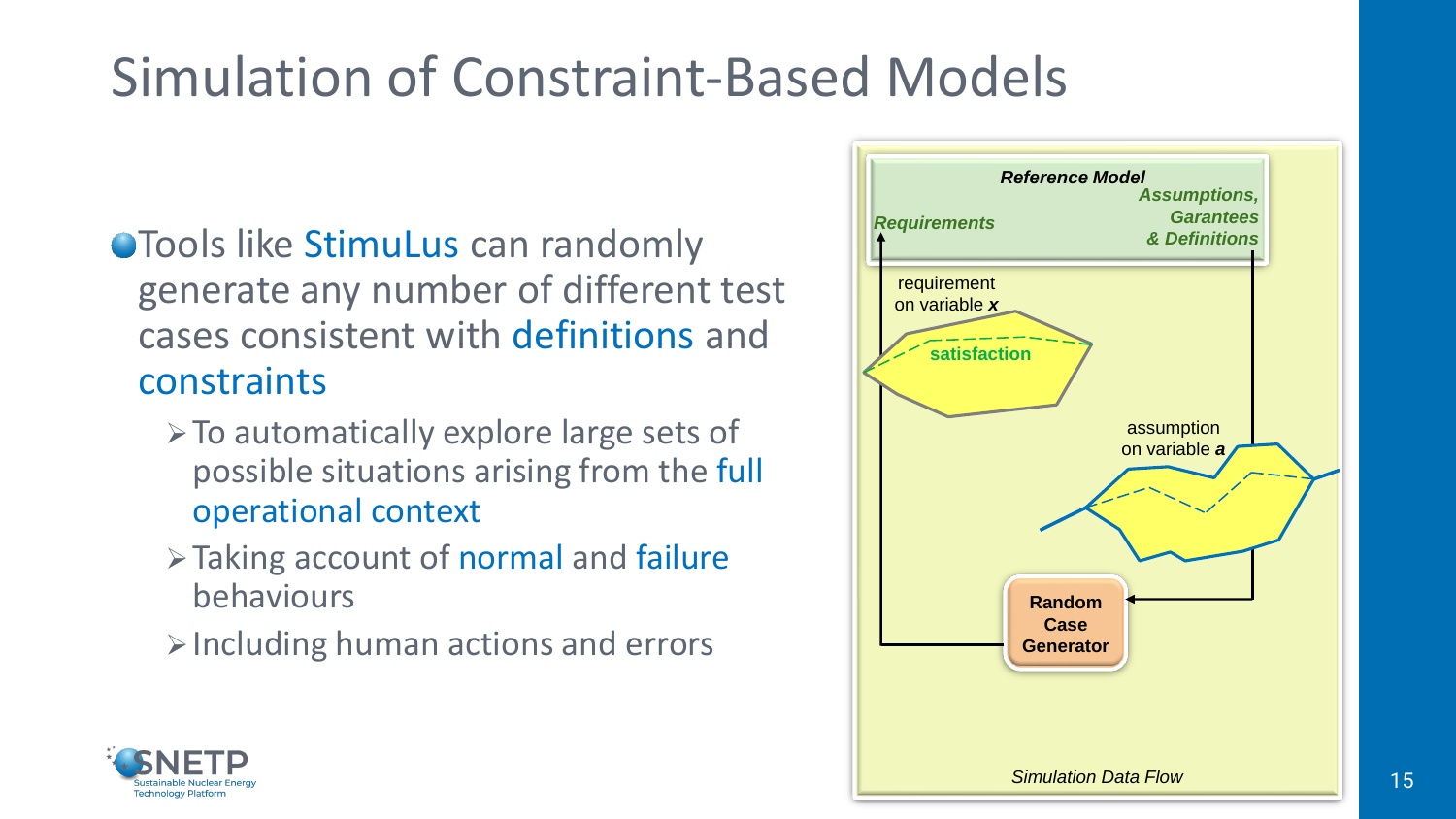# Simulation of Constraint-Based Models

- **OTools like StimuLus can randomly** generate any number of different test cases consistent with definitions and constraints
	- ➢To automatically explore large sets of possible situations arising from the full operational context
	- ➢Taking account of normal and failure behaviours
	- $\triangleright$  Including human actions and errors



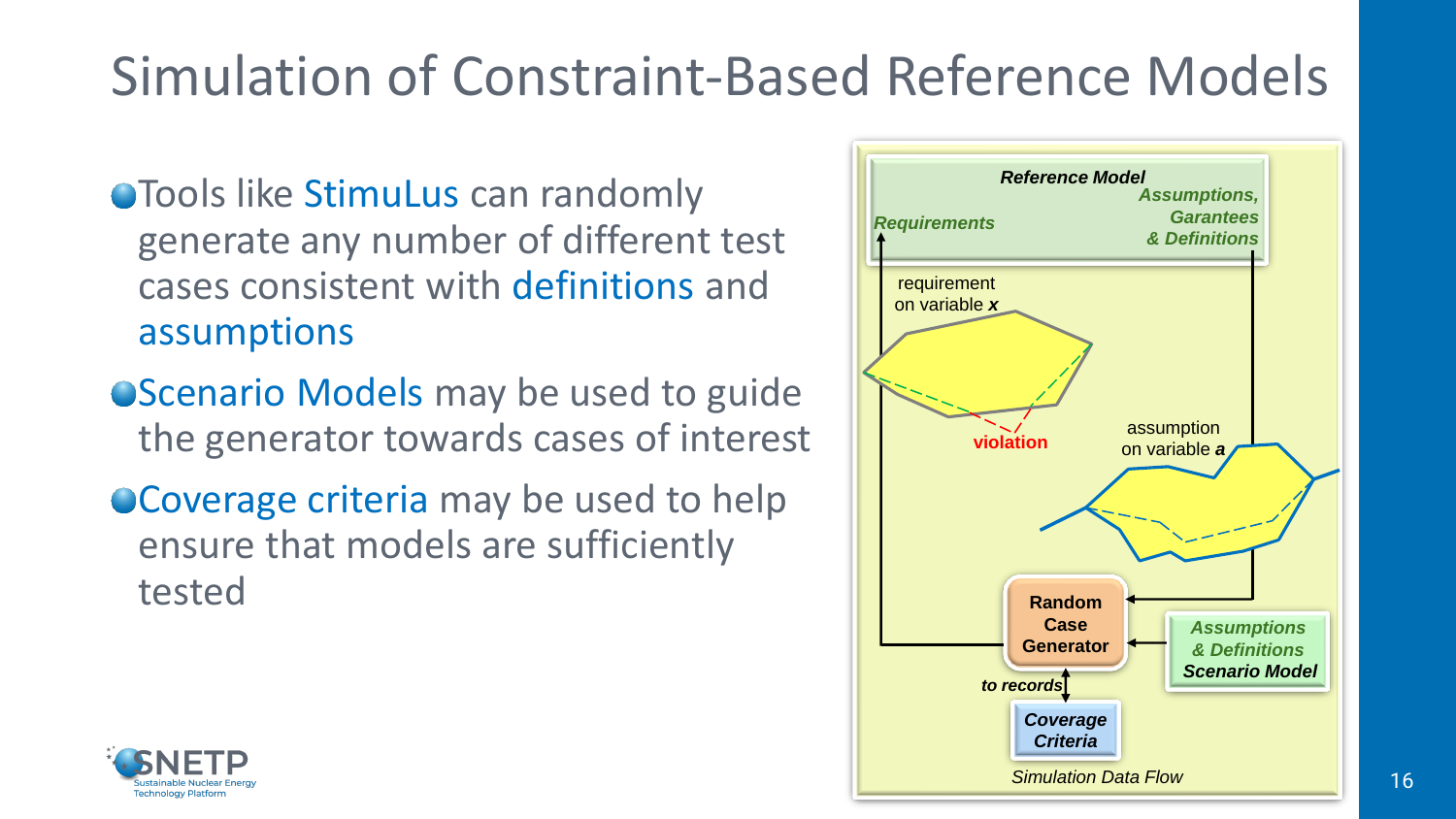# Simulation of Constraint-Based Reference Models

- **OTools like StimuLus can randomly** generate any number of different test cases consistent with definitions and assumptions
- **OScenario Models may be used to guide** the generator towards cases of interest
- Coverage criteria may be used to help ensure that models are sufficiently tested



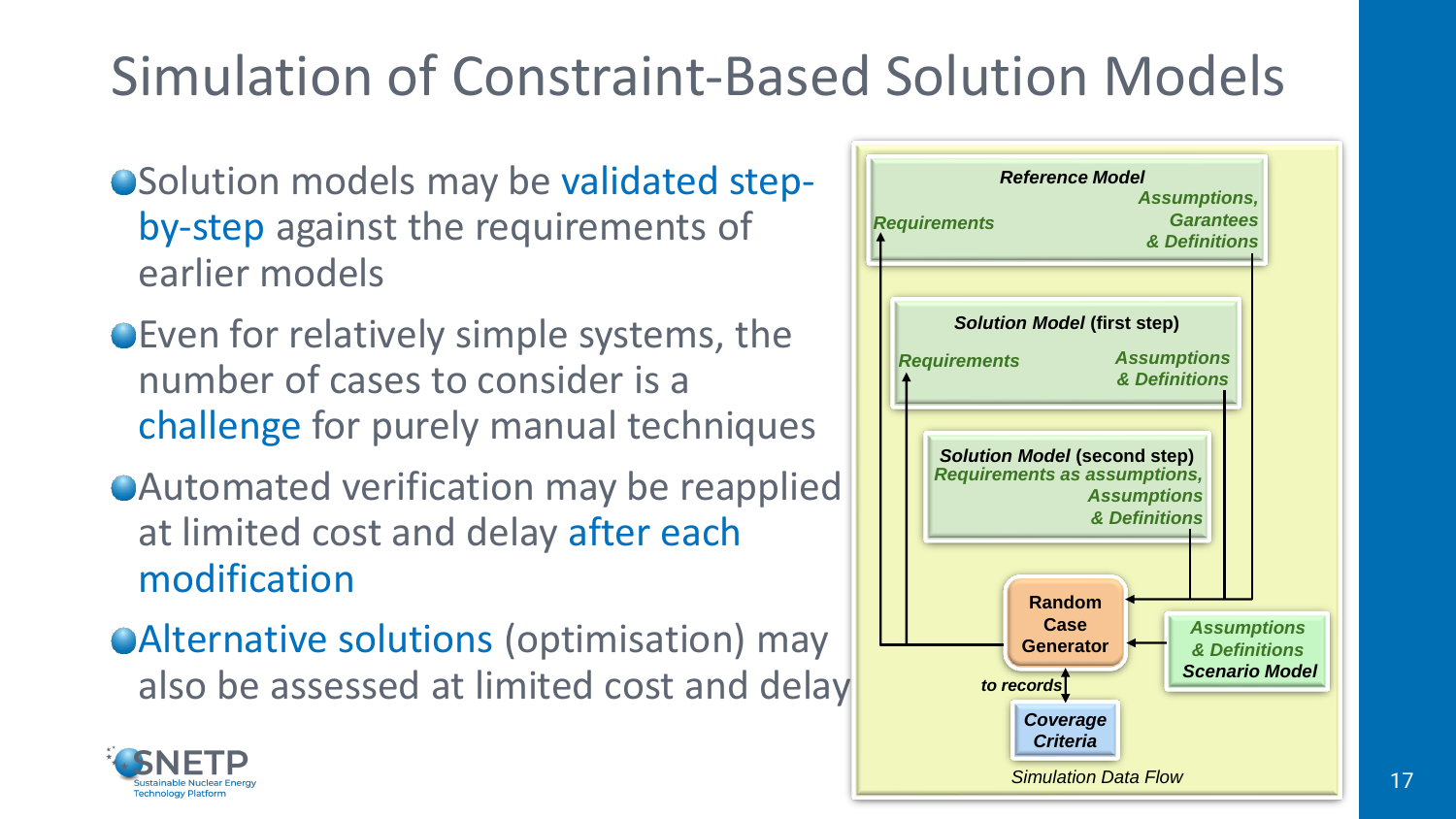# Simulation of Constraint-Based Solution Models

- Solution models may be validated stepby-step against the requirements of earlier models
- Even for relatively simple systems, the number of cases to consider is a challenge for purely manual techniques
- Automated verification may be reapplied at limited cost and delay after each modification
- Alternative solutions (optimisation) may also be assessed at limited cost and delay



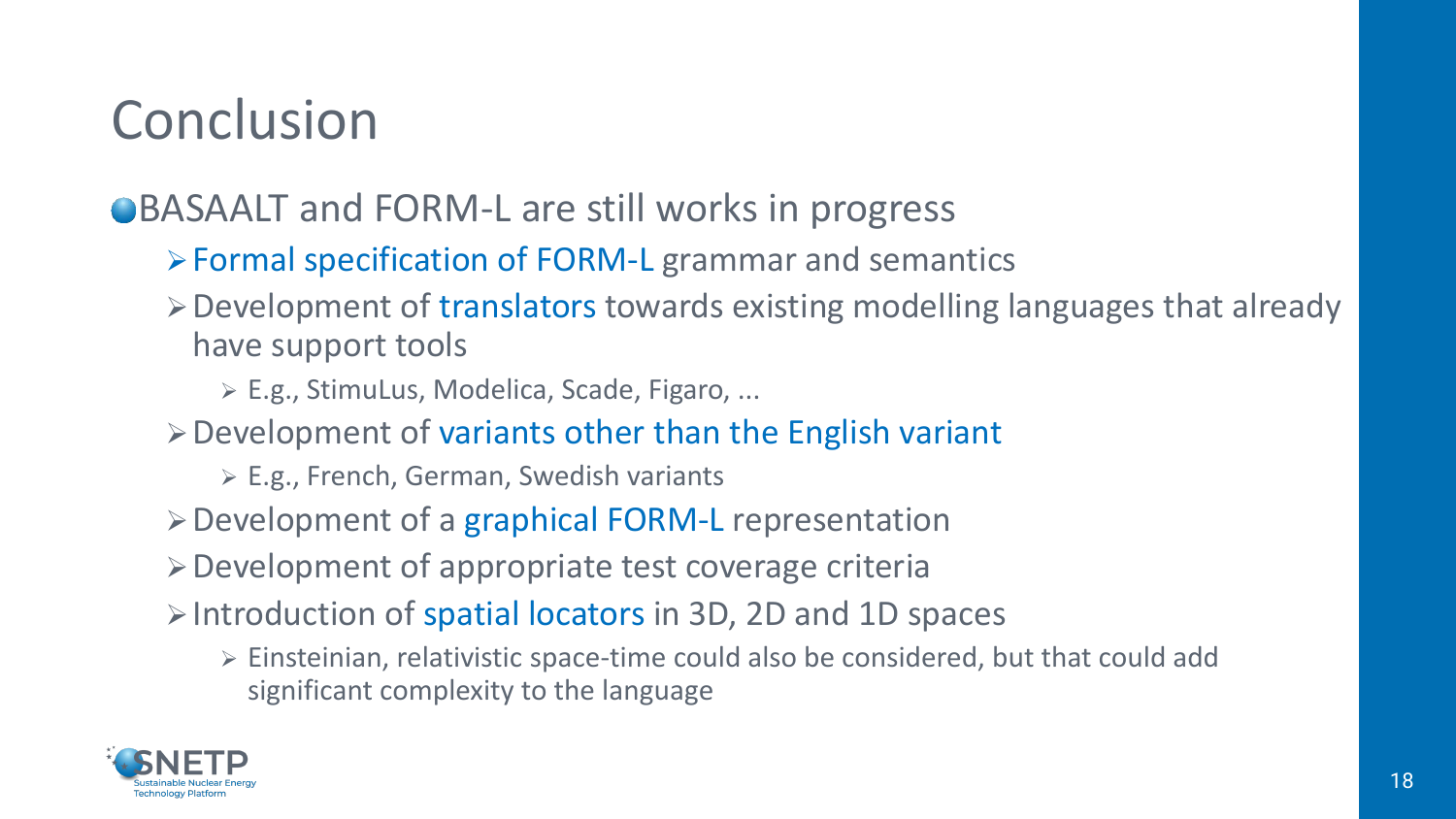## Conclusion

#### ●BASAALT and FORM-L are still works in progress

- ➢Formal specification of FORM-L grammar and semantics
- ➢Development of translators towards existing modelling languages that already have support tools
	- ➢ E.g., StimuLus, Modelica, Scade, Figaro, ...
- ➢Development of variants other than the English variant
	- ➢ E.g., French, German, Swedish variants
- ➢Development of a graphical FORM-L representation
- ➢Development of appropriate test coverage criteria
- ➢Introduction of spatial locators in 3D, 2D and 1D spaces
	- ➢ Einsteinian, relativistic space-time could also be considered, but that could add significant complexity to the language